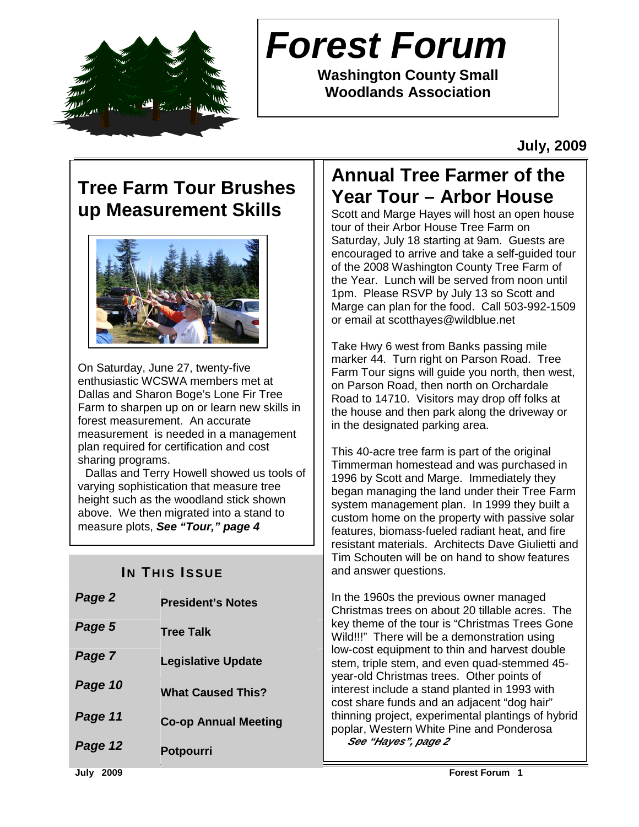

# **Forest Forum**

**Washington County Small Woodlands Association** 

**July, 2009** 

## **Tree Farm Tour Brushes up Measurement Skills**



On Saturday, June 27, twenty-five enthusiastic WCSWA members met at Dallas and Sharon Boge's Lone Fir Tree Farm to sharpen up on or learn new skills in forest measurement. An accurate measurement is needed in a management plan required for certification and cost sharing programs.

 Dallas and Terry Howell showed us tools of varying sophistication that measure tree height such as the woodland stick shown above. We then migrated into a stand to measure plots, **See "Tour," page 4**

## **IN THIS ISSUE**

| Page 2  | <b>President's Notes</b>    |
|---------|-----------------------------|
| Page 5  | <b>Tree Talk</b>            |
| Page 7  | <b>Legislative Update</b>   |
| Page 10 | <b>What Caused This?</b>    |
| Page 11 | <b>Co-op Annual Meeting</b> |
| Page 12 | <b>Potpourri</b>            |
|         |                             |

## **Annual Tree Farmer of the Year Tour – Arbor House**

Scott and Marge Hayes will host an open house tour of their Arbor House Tree Farm on Saturday, July 18 starting at 9am. Guests are encouraged to arrive and take a self-guided tour of the 2008 Washington County Tree Farm of the Year. Lunch will be served from noon until 1pm. Please RSVP by July 13 so Scott and Marge can plan for the food. Call 503-992-1509 or email at scotthayes@wildblue.net

Take Hwy 6 west from Banks passing mile marker 44. Turn right on Parson Road. Tree Farm Tour signs will guide you north, then west, on Parson Road, then north on Orchardale Road to 14710. Visitors may drop off folks at the house and then park along the driveway or in the designated parking area.

This 40-acre tree farm is part of the original Timmerman homestead and was purchased in 1996 by Scott and Marge. Immediately they began managing the land under their Tree Farm system management plan. In 1999 they built a custom home on the property with passive solar features, biomass-fueled radiant heat, and fire resistant materials. Architects Dave Giulietti and Tim Schouten will be on hand to show features and answer questions.

In the 1960s the previous owner managed Christmas trees on about 20 tillable acres. The key theme of the tour is "Christmas Trees Gone Wild!!!" There will be a demonstration using low-cost equipment to thin and harvest double stem, triple stem, and even quad-stemmed 45 year-old Christmas trees. Other points of interest include a stand planted in 1993 with cost share funds and an adjacent "dog hair" thinning project, experimental plantings of hybrid poplar, Western White Pine and Ponderosa **See "Hayes", page 2**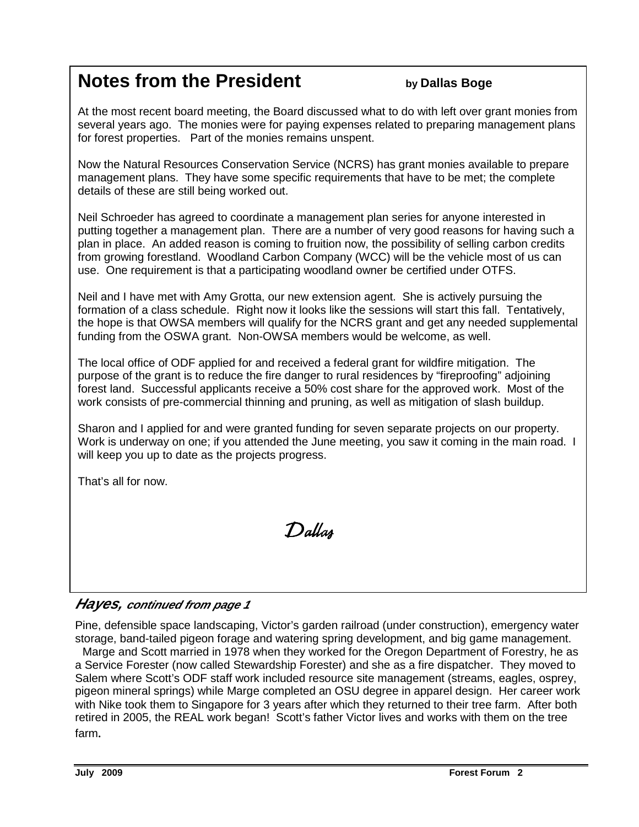## **Notes from the President by Dallas Boge**

At the most recent board meeting, the Board discussed what to do with left over grant monies from several years ago. The monies were for paying expenses related to preparing management plans for forest properties. Part of the monies remains unspent.

Now the Natural Resources Conservation Service (NCRS) has grant monies available to prepare management plans. They have some specific requirements that have to be met; the complete details of these are still being worked out.

Neil Schroeder has agreed to coordinate a management plan series for anyone interested in putting together a management plan. There are a number of very good reasons for having such a plan in place. An added reason is coming to fruition now, the possibility of selling carbon credits from growing forestland. Woodland Carbon Company (WCC) will be the vehicle most of us can use. One requirement is that a participating woodland owner be certified under OTFS.

Neil and I have met with Amy Grotta, our new extension agent. She is actively pursuing the formation of a class schedule. Right now it looks like the sessions will start this fall. Tentatively, the hope is that OWSA members will qualify for the NCRS grant and get any needed supplemental funding from the OSWA grant. Non-OWSA members would be welcome, as well.

The local office of ODF applied for and received a federal grant for wildfire mitigation. The purpose of the grant is to reduce the fire danger to rural residences by "fireproofing" adjoining forest land. Successful applicants receive a 50% cost share for the approved work. Most of the work consists of pre-commercial thinning and pruning, as well as mitigation of slash buildup.

Sharon and I applied for and were granted funding for seven separate projects on our property. Work is underway on one; if you attended the June meeting, you saw it coming in the main road. I will keep you up to date as the projects progress.

That's all for now.

Dallas

## **Hayes, continued from page 1**

Pine, defensible space landscaping, Victor's garden railroad (under construction), emergency water storage, band-tailed pigeon forage and watering spring development, and big game management.

 Marge and Scott married in 1978 when they worked for the Oregon Department of Forestry, he as a Service Forester (now called Stewardship Forester) and she as a fire dispatcher. They moved to Salem where Scott's ODF staff work included resource site management (streams, eagles, osprey, pigeon mineral springs) while Marge completed an OSU degree in apparel design. Her career work with Nike took them to Singapore for 3 years after which they returned to their tree farm. After both retired in 2005, the REAL work began! Scott's father Victor lives and works with them on the tree farm*.*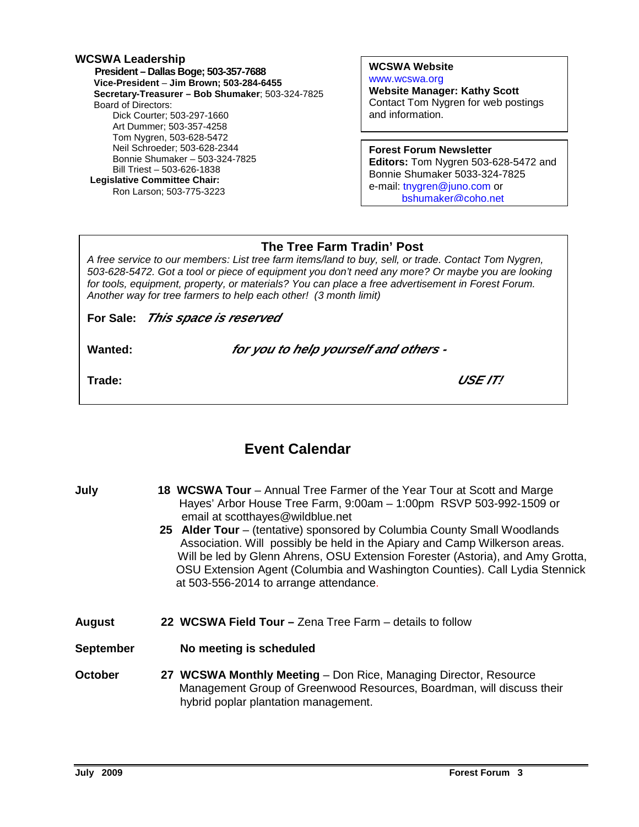### **WCSWA Leadership President – Dallas Boge; 503-357-7688 Vice-President** – **Jim Brown; 503-284-6455 Secretary-Treasurer – Bob Shumaker**; 503-324-7825 Board of Directors: Dick Courter; 503-297-1660 Art Dummer; 503-357-4258 Tom Nygren, 503-628-5472 Neil Schroeder; 503-628-2344 Bonnie Shumaker – 503-324-7825 Bill Triest – 503-626-1838  **Legislative Committee Chair:**  Ron Larson; 503-775-3223

### **WCSWA Website** www.wcswa.org

**Website Manager: Kathy Scott** Contact Tom Nygren for web postings and information.

### **Forest Forum Newsletter**

**Editors:** Tom Nygren 503-628-5472 and Bonnie Shumaker 5033-324-7825 e-mail: tnygren@juno.com or bshumaker@coho.net

### **The Tree Farm Tradin' Post**

 for tools, equipment, property, or materials? You can place a free advertisement in Forest Forum. A free service to our members: List tree farm items/land to buy, sell, or trade. Contact Tom Nygren, 503-628-5472. Got a tool or piece of equipment you don't need any more? Or maybe you are looking Another way for tree farmers to help each other! (3 month limit)

**For Sale: This space is reserved** 

**Wanted: for you to help yourself and others -** 

**Trade: USE IT!** 

## **Event Calendar**

| July      | 18 WCSWA Tour – Annual Tree Farmer of the Year Tour at Scott and Marge<br>Hayes' Arbor House Tree Farm, 9:00am - 1:00pm RSVP 503-992-1509 or<br>email at scotthayes@wildblue.net<br>25 Alder Tour – (tentative) sponsored by Columbia County Small Woodlands<br>Association. Will possibly be held in the Apiary and Camp Wilkerson areas.<br>Will be led by Glenn Ahrens, OSU Extension Forester (Astoria), and Amy Grotta,<br>OSU Extension Agent (Columbia and Washington Counties). Call Lydia Stennick<br>at 503-556-2014 to arrange attendance. |
|-----------|-------------------------------------------------------------------------------------------------------------------------------------------------------------------------------------------------------------------------------------------------------------------------------------------------------------------------------------------------------------------------------------------------------------------------------------------------------------------------------------------------------------------------------------------------------|
| August    | 22 WCSWA Field Tour - Zena Tree Farm - details to follow                                                                                                                                                                                                                                                                                                                                                                                                                                                                                              |
| September | No meeting is scheduled                                                                                                                                                                                                                                                                                                                                                                                                                                                                                                                               |
| October   | 27 WCSWA Monthly Meeting - Don Rice, Managing Director, Resource<br>Management Group of Greenwood Resources, Boardman, will discuss their<br>hybrid poplar plantation management.                                                                                                                                                                                                                                                                                                                                                                     |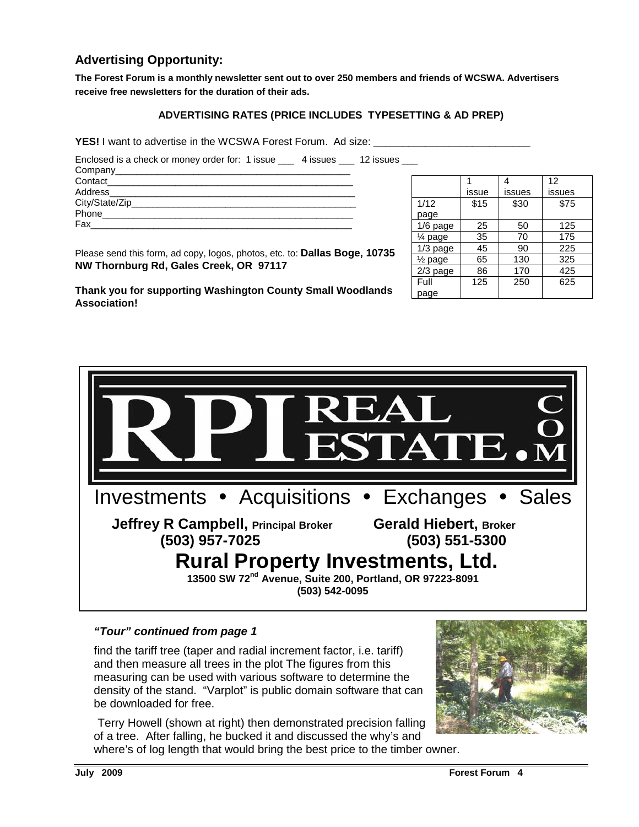### **Advertising Opportunity:**

**The Forest Forum is a monthly newsletter sent out to over 250 members and friends of WCSWA. Advertisers receive free newsletters for the duration of their ads.** 

### **ADVERTISING RATES (PRICE INCLUDES TYPESETTING & AD PREP)**

YES! I want to advertise in the WCSWA Forest Forum. Ad size: \_\_\_\_\_\_\_\_\_\_\_\_\_\_\_\_\_\_\_

Enclosed is a check or money order for: 1 issue \_\_\_ 4 issues \_\_\_ 12 issues \_\_\_

| Company____________ |  |
|---------------------|--|
| Contact             |  |
| Address_________    |  |
| City/State/Zip___   |  |
| Phone               |  |
| Fax                 |  |
|                     |  |

|                    |       |        | 12     |
|--------------------|-------|--------|--------|
|                    | issue | issues | issues |
| 1/12               | \$15  | \$30   | \$75   |
| page               |       |        |        |
| 1/6 page           | 25    | 50     | 125    |
| $\frac{1}{4}$ page | 35    | 70     | 175    |
| $1/3$ page         | 45    | 90     | 225    |
| $\frac{1}{2}$ page | 65    | 130    | 325    |
| $2/3$ page         | 86    | 170    | 425    |
| Full               | 125   | 250    | 625    |
| page               |       |        |        |

Please send this form, ad copy, logos, photos, etc. to: **Dallas Boge, 10735 NW Thornburg Rd, Gales Creek, OR 97117** 

**Thank you for supporting Washington County Small Woodlands Association!** 



### **"Tour" continued from page 1**

find the tariff tree (taper and radial increment factor, i.e. tariff) and then measure all trees in the plot The figures from this measuring can be used with various software to determine the density of the stand. "Varplot" is public domain software that can be downloaded for free.

Terry Howell (shown at right) then demonstrated precision falling of a tree. After falling, he bucked it and discussed the why's and where's of log length that would bring the best price to the timber owner.

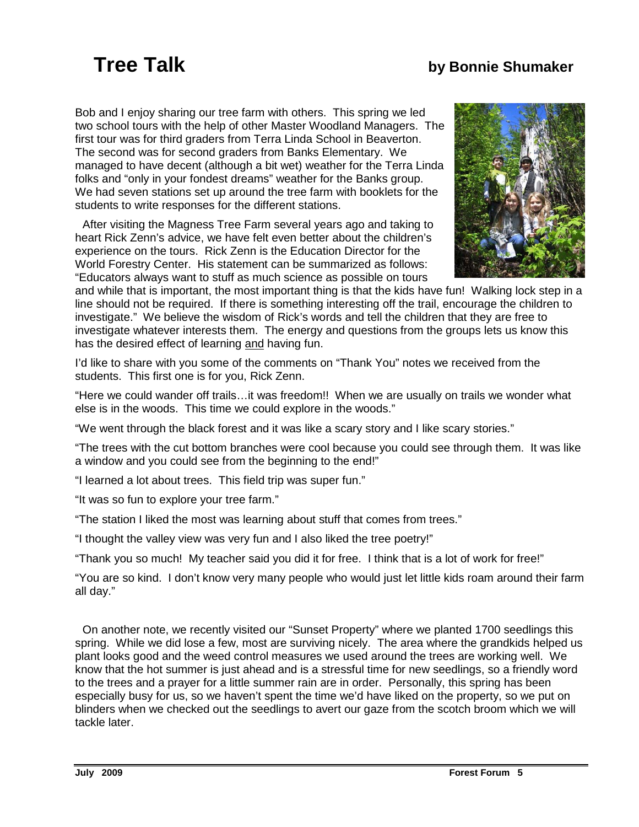## **Tree Talk by Bonnie Shumaker**

Bob and I enjoy sharing our tree farm with others. This spring we led two school tours with the help of other Master Woodland Managers. The first tour was for third graders from Terra Linda School in Beaverton. The second was for second graders from Banks Elementary. We managed to have decent (although a bit wet) weather for the Terra Linda folks and "only in your fondest dreams" weather for the Banks group. We had seven stations set up around the tree farm with booklets for the students to write responses for the different stations.

 After visiting the Magness Tree Farm several years ago and taking to heart Rick Zenn's advice, we have felt even better about the children's experience on the tours. Rick Zenn is the Education Director for the World Forestry Center. His statement can be summarized as follows: "Educators always want to stuff as much science as possible on tours



and while that is important, the most important thing is that the kids have fun! Walking lock step in a line should not be required. If there is something interesting off the trail, encourage the children to investigate." We believe the wisdom of Rick's words and tell the children that they are free to investigate whatever interests them. The energy and questions from the groups lets us know this has the desired effect of learning and having fun.

I'd like to share with you some of the comments on "Thank You" notes we received from the students. This first one is for you, Rick Zenn.

"Here we could wander off trails…it was freedom!! When we are usually on trails we wonder what else is in the woods. This time we could explore in the woods."

"We went through the black forest and it was like a scary story and I like scary stories."

"The trees with the cut bottom branches were cool because you could see through them. It was like a window and you could see from the beginning to the end!"

"I learned a lot about trees. This field trip was super fun."

"It was so fun to explore your tree farm."

"The station I liked the most was learning about stuff that comes from trees."

"I thought the valley view was very fun and I also liked the tree poetry!"

"Thank you so much! My teacher said you did it for free. I think that is a lot of work for free!"

"You are so kind. I don't know very many people who would just let little kids roam around their farm all day."

 On another note, we recently visited our "Sunset Property" where we planted 1700 seedlings this spring. While we did lose a few, most are surviving nicely. The area where the grandkids helped us plant looks good and the weed control measures we used around the trees are working well. We know that the hot summer is just ahead and is a stressful time for new seedlings, so a friendly word to the trees and a prayer for a little summer rain are in order. Personally, this spring has been especially busy for us, so we haven't spent the time we'd have liked on the property, so we put on blinders when we checked out the seedlings to avert our gaze from the scotch broom which we will tackle later.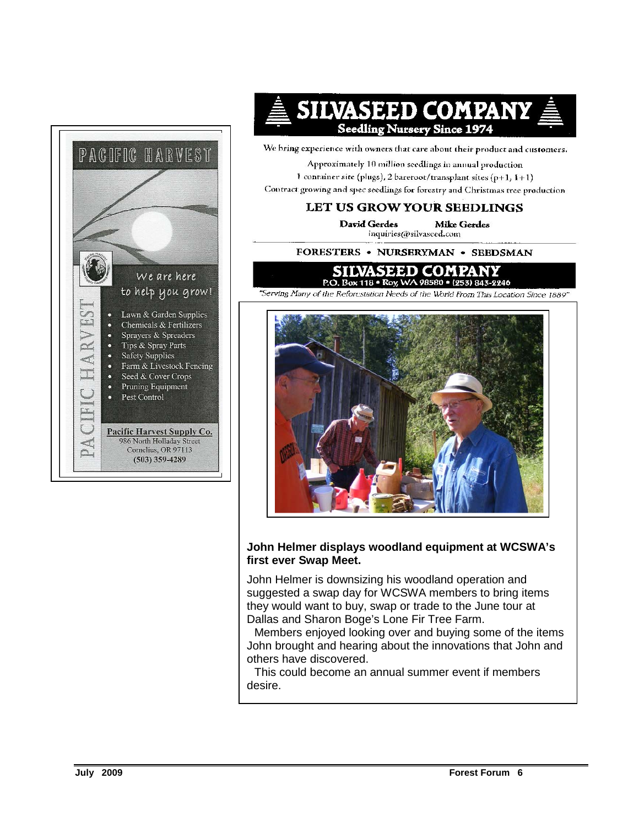

## SILVASEED COMPANY **Seedling Nursery Since 1974**

We bring experience with owners that care about their product and customers.

Approximately 10 million seedlings in annual production 1 container site (plugs), 2 bareroot/transplant sites  $(p+1, 1+1)$ Contract growing and spec seedlings for forestry and Christmas tree production

### LET US GROW YOUR SEEDLINGS

**David Gerdes** Mike Gerdes inquiries@silvaseed.com

FORESTERS . NURSERYMAN . SEEDSMAN

### SILVA SEED COMPA P.O. Box 118 · Roy, WA 98580 · (253) 843-2246

"Serving Many of the Reforcstation Needs of the World From This Location Since 1889"



### **John Helmer displays woodland equipment at WCSWA's first ever Swap Meet.**

John Helmer is downsizing his woodland operation and suggested a swap day for WCSWA members to bring items they would want to buy, swap or trade to the June tour at Dallas and Sharon Boge's Lone Fir Tree Farm.

 Members enjoyed looking over and buying some of the items John brought and hearing about the innovations that John and others have discovered.

 This could become an annual summer event if members desire.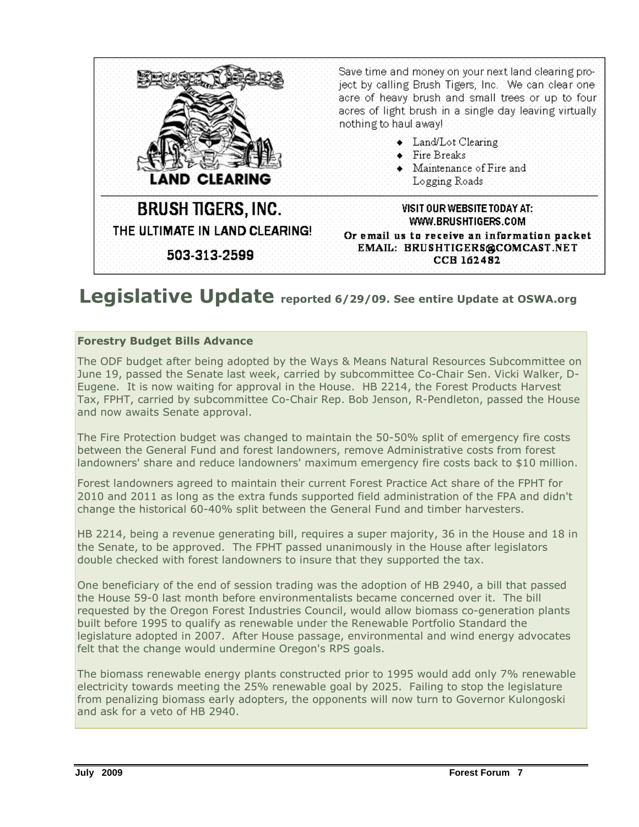

## Legislative Update reported 6/29/09. See entire Update at OSWA.org

### Forestry Budget Bills Advance

The ODF budget after being adopted by the Ways & Means Natural Resources Subcommittee on June 19, passed the Senate last week, carried by subcommittee Co-Chair Sen. Vicki Walker, D-Eugene. It is now waiting for approval in the House. HB 2214, the Forest Products Harvest Tax, FPHT, carried by subcommittee Co-Chair Rep. Bob Jenson, R-Pendleton, passed the House and now awaits Senate approval.

The Fire Protection budget was changed to maintain the 50-50% split of emergency fire costs between the General Fund and forest landowners, remove Administrative costs from forest landowners' share and reduce landowners' maximum emergency fire costs back to \$10 million.

Forest landowners agreed to maintain their current Forest Practice Act share of the FPHT for 2010 and 2011 as long as the extra funds supported field administration of the FPA and didn't change the historical 60-40% split between the General Fund and timber harvesters.

HB 2214, being a revenue generating bill, requires a super majority, 36 in the House and 18 in the Senate, to be approved. The FPHT passed unanimously in the House after legislators double checked with forest landowners to insure that they supported the tax.

One beneficiary of the end of session trading was the adoption of HB 2940, a bill that passed the House 59-0 last month before environmentalists became concerned over it. The bill requested by the Oregon Forest Industries Council, would allow biomass co-generation plants built before 1995 to qualify as renewable under the Renewable Portfolio Standard the legislature adopted in 2007. After House passage, environmental and wind energy advocates felt that the change would undermine Oregon's RPS goals.

The biomass renewable energy plants constructed prior to 1995 would add only 7% renewable electricity towards meeting the 25% renewable goal by 2025. Failing to stop the legislature from penalizing biomass early adopters, the opponents will now turn to Governor Kulongoski and ask for a veto of HB 2940.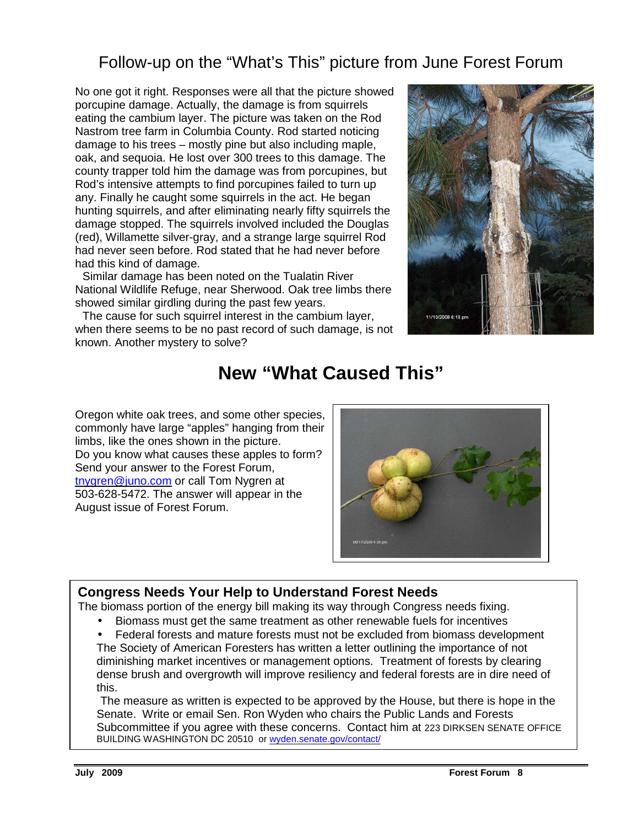## Follow-up on the "What's This" picture from June Forest Forum

No one got it right. Responses were all that the picture showed porcupine damage. Actually, the damage is from squirrels eating the cambium layer. The picture was taken on the Rod Nastrom tree farm in Columbia County. Rod started noticing damage to his trees – mostly pine but also including maple, oak, and sequoia. He lost over 300 trees to this damage. The county trapper told him the damage was from porcupines, but Rod's intensive attempts to find porcupines failed to turn up any. Finally he caught some squirrels in the act. He began hunting squirrels, and after eliminating nearly fifty squirrels the damage stopped. The squirrels involved included the Douglas (red), Willamette silver-gray, and a strange large squirrel Rod had never seen before. Rod stated that he had never before had this kind of damage.

 Similar damage has been noted on the Tualatin River National Wildlife Refuge, near Sherwood. Oak tree limbs there showed similar girdling during the past few years.

 The cause for such squirrel interest in the cambium layer, when there seems to be no past record of such damage, is not known. Another mystery to solve?



## **New "What Caused This"**

Oregon white oak trees, and some other species, commonly have large "apples" hanging from their limbs, like the ones shown in the picture. Do you know what causes these apples to form? Send your answer to the Forest Forum, tnygren@juno.com or call Tom Nygren at 503-628-5472. The answer will appear in the August issue of Forest Forum.



## **Congress Needs Your Help to Understand Forest Needs**

The biomass portion of the energy bill making its way through Congress needs fixing.

• Biomass must get the same treatment as other renewable fuels for incentives

• Federal forests and mature forests must not be excluded from biomass development The Society of American Foresters has written a letter outlining the importance of not diminishing market incentives or management options. Treatment of forests by clearing dense brush and overgrowth will improve resiliency and federal forests are in dire need of this.

 The measure as written is expected to be approved by the House, but there is hope in the Senate. Write or email Sen. Ron Wyden who chairs the Public Lands and Forests Subcommittee if you agree with these concerns. Contact him at 223 DIRKSEN SENATE OFFICE BUILDING WASHINGTON DC 20510 or wyden.senate.gov/contact/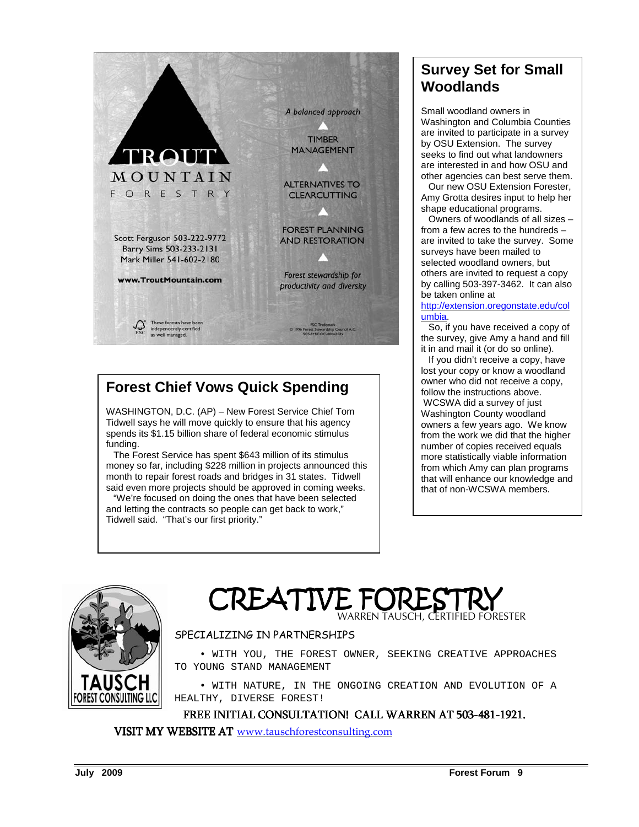

## **Forest Chief Vows Quick Spending**

WASHINGTON, D.C. (AP) – New Forest Service Chief Tom Tidwell says he will move quickly to ensure that his agency spends its \$1.15 billion share of federal economic stimulus funding.

 The Forest Service has spent \$643 million of its stimulus money so far, including \$228 million in projects announced this month to repair forest roads and bridges in 31 states. Tidwell said even more projects should be approved in coming weeks.

 "We're focused on doing the ones that have been selected and letting the contracts so people can get back to work," Tidwell said. "That's our first priority."

## **Survey Set for Small Woodlands**

Small woodland owners in Washington and Columbia Counties are invited to participate in a survey by OSU Extension. The survey seeks to find out what landowners are interested in and how OSU and other agencies can best serve them.

 Our new OSU Extension Forester, Amy Grotta desires input to help her shape educational programs.

 Owners of woodlands of all sizes – from a few acres to the hundreds – are invited to take the survey. Some surveys have been mailed to selected woodland owners, but others are invited to request a copy by calling 503-397-3462. It can also be taken online at

http://extension.oregonstate.edu/col umbia.

 So, if you have received a copy of the survey, give Amy a hand and fill it in and mail it (or do so online).

 If you didn't receive a copy, have lost your copy or know a woodland owner who did not receive a copy, follow the instructions above. WCSWA did a survey of just Washington County woodland owners a few years ago. We know from the work we did that the higher number of copies received equals more statistically viable information from which Amy can plan programs that will enhance our knowledge and that of non-WCSWA members.



**CREATIVE FOR** WARREN TAUSCH, CERTIFIED FORESTER

### SPECIALIZING IN PARTNERSHIPS

 • WITH YOU, THE FOREST OWNER, SEEKING CREATIVE APPROACHES TO YOUNG STAND MANAGEMENT

 • WITH NATURE, IN THE ONGOING CREATION AND EVOLUTION OF A HEALTHY, DIVERSE FOREST!

FREE INITIAL CONSULTATION! CALL WARREN AT 503-481-1921.

VISIT MY WEBSITE AT www.tauschforestconsulting.com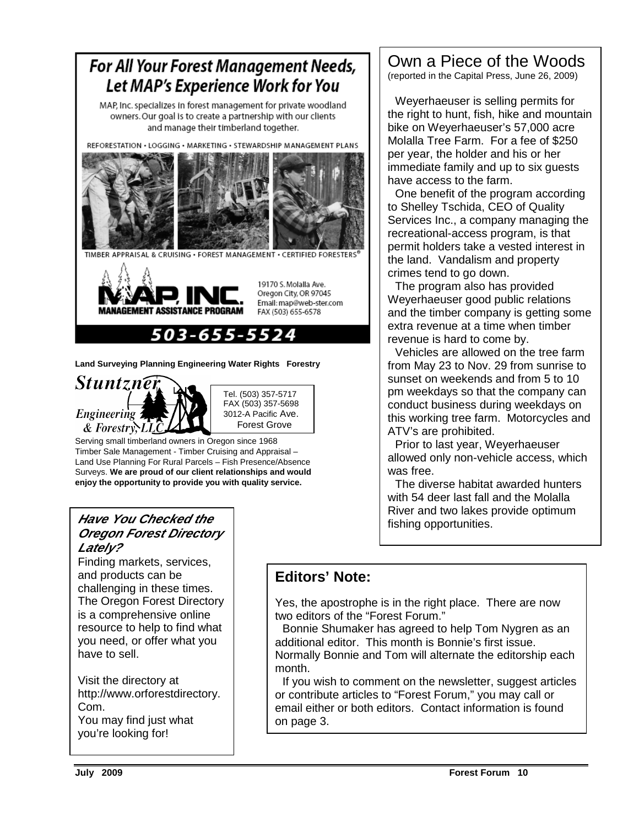

**Land Surveying Planning Engineering Water Rights Forestry** 



Serving small timberland owners in Oregon since 1968 Timber Sale Management - Timber Cruising and Appraisal – Land Use Planning For Rural Parcels – Fish Presence/Absence Surveys. **We are proud of our client relationships and would enjoy the opportunity to provide you with quality service.** 

### **Have You Checked the Oregon Forest Directory Lately?**

 challenging in these times. Finding markets, services, and products can be The Oregon Forest Directory is a comprehensive online resource to help to find what you need, or offer what you have to sell.

Visit the directory at http://www.orforestdirectory. Com. You may find just what

you're looking for!

## Own a Piece of the Woods

(reported in the Capital Press, June 26, 2009)

 Weyerhaeuser is selling permits for the right to hunt, fish, hike and mountain bike on Weyerhaeuser's 57,000 acre Molalla Tree Farm. For a fee of \$250 per year, the holder and his or her immediate family and up to six guests have access to the farm.

 One benefit of the program according to Shelley Tschida, CEO of Quality Services Inc., a company managing the recreational-access program, is that permit holders take a vested interest in the land. Vandalism and property crimes tend to go down.

 The program also has provided Weyerhaeuser good public relations and the timber company is getting some extra revenue at a time when timber revenue is hard to come by.

 Vehicles are allowed on the tree farm from May 23 to Nov. 29 from sunrise to sunset on weekends and from 5 to 10 pm weekdays so that the company can conduct business during weekdays on this working tree farm. Motorcycles and ATV's are prohibited.

 Prior to last year, Weyerhaeuser allowed only non-vehicle access, which was free.

 The diverse habitat awarded hunters with 54 deer last fall and the Molalla River and two lakes provide optimum fishing opportunities.

## **Editors' Note:**

Yes, the apostrophe is in the right place. There are now two editors of the "Forest Forum."

 Bonnie Shumaker has agreed to help Tom Nygren as an additional editor. This month is Bonnie's first issue. Normally Bonnie and Tom will alternate the editorship each month.

 If you wish to comment on the newsletter, suggest articles or contribute articles to "Forest Forum," you may call or email either or both editors. Contact information is found on page 3.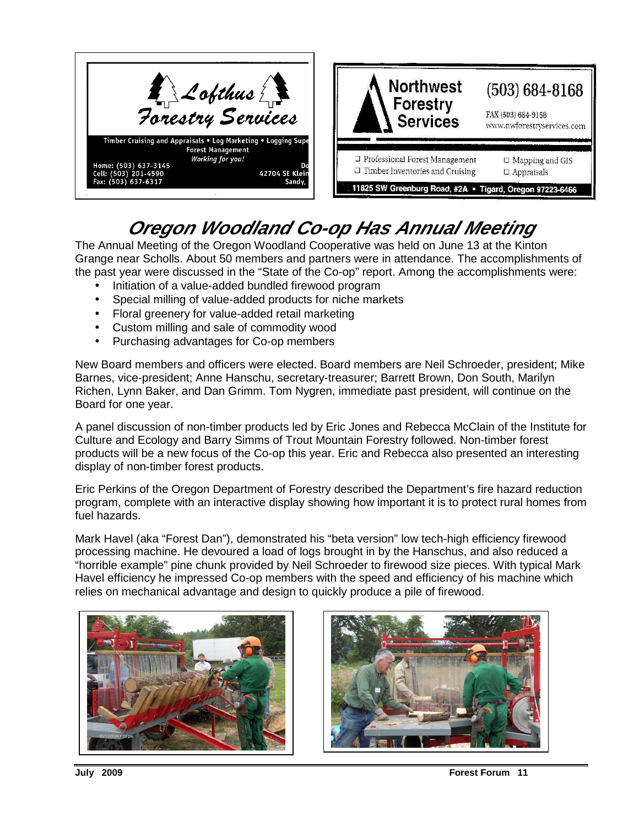

## **Oregon Woodland Co-op Has Annual Meeting**

The Annual Meeting of the Oregon Woodland Cooperative was held on June 13 at the Kinton Grange near Scholls. About 50 members and partners were in attendance. The accomplishments of the past year were discussed in the "State of the Co-op" report. Among the accomplishments were:

- Initiation of a value-added bundled firewood program
- Special milling of value-added products for niche markets
- Floral greenery for value-added retail marketing
- Custom milling and sale of commodity wood
- Purchasing advantages for Co-op members

New Board members and officers were elected. Board members are Neil Schroeder, president; Mike Barnes, vice-president; Anne Hanschu, secretary-treasurer; Barrett Brown, Don South, Marilyn Richen, Lynn Baker, and Dan Grimm. Tom Nygren, immediate past president, will continue on the Board for one year.

A panel discussion of non-timber products led by Eric Jones and Rebecca McClain of the Institute for Culture and Ecology and Barry Simms of Trout Mountain Forestry followed. Non-timber forest products will be a new focus of the Co-op this year. Eric and Rebecca also presented an interesting display of non-timber forest products.

Eric Perkins of the Oregon Department of Forestry described the Department's fire hazard reduction program, complete with an interactive display showing how important it is to protect rural homes from fuel hazards.

Mark Havel (aka "Forest Dan"), demonstrated his "beta version" low tech-high efficiency firewood processing machine. He devoured a load of logs brought in by the Hanschus, and also reduced a "horrible example" pine chunk provided by Neil Schroeder to firewood size pieces. With typical Mark Havel efficiency he impressed Co-op members with the speed and efficiency of his machine which relies on mechanical advantage and design to quickly produce a pile of firewood.